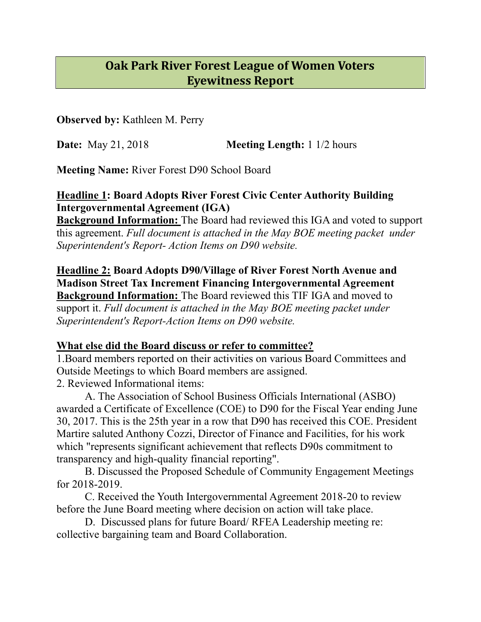## **Oak Park River Forest League of Women Voters Eyewitness Report**

**Observed by:** Kathleen M. Perry

**Date:** May 21, 2018 **Meeting Length:** 1 1/2 hours

**Meeting Name:** River Forest D90 School Board

**Headline 1: Board Adopts River Forest Civic Center Authority Building Intergovernmental Agreement (IGA)** 

**Background Information:** The Board had reviewed this IGA and voted to support this agreement. *Full document is attached in the May BOE meeting packet under Superintendent's Report- Action Items on D90 website.* 

**Headline 2: Board Adopts D90/Village of River Forest North Avenue and Madison Street Tax Increment Financing Intergovernmental Agreement**

**Background Information:** The Board reviewed this TIF IGA and moved to support it. *Full document is attached in the May BOE meeting packet under Superintendent's Report-Action Items on D90 website.*

## **What else did the Board discuss or refer to committee?**

1.Board members reported on their activities on various Board Committees and Outside Meetings to which Board members are assigned. 2. Reviewed Informational items:

 A. The Association of School Business Officials International (ASBO) awarded a Certificate of Excellence (COE) to D90 for the Fiscal Year ending June 30, 2017. This is the 25th year in a row that D90 has received this COE. President Martire saluted Anthony Cozzi, Director of Finance and Facilities, for his work which "represents significant achievement that reflects D90s commitment to transparency and high-quality financial reporting".

 B. Discussed the Proposed Schedule of Community Engagement Meetings for 2018-2019.

 C. Received the Youth Intergovernmental Agreement 2018-20 to review before the June Board meeting where decision on action will take place.

 D. Discussed plans for future Board/ RFEA Leadership meeting re: collective bargaining team and Board Collaboration.